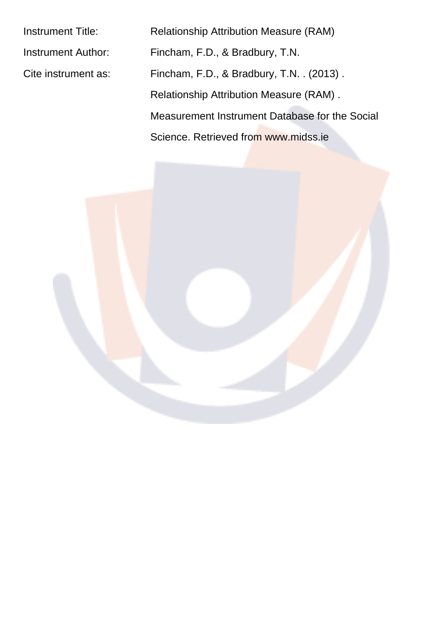| <b>Instrument Title:</b>  | <b>Relationship Attribution Measure (RAM)</b>  |  |  |  |  |
|---------------------------|------------------------------------------------|--|--|--|--|
| <b>Instrument Author:</b> | Fincham, F.D., & Bradbury, T.N.                |  |  |  |  |
| Cite instrument as:       | Fincham, F.D., & Bradbury, T.N. . (2013).      |  |  |  |  |
|                           | <b>Relationship Attribution Measure (RAM).</b> |  |  |  |  |
|                           | Measurement Instrument Database for the Social |  |  |  |  |
|                           | Science, Retrieved from www.midss.ie           |  |  |  |  |
|                           |                                                |  |  |  |  |

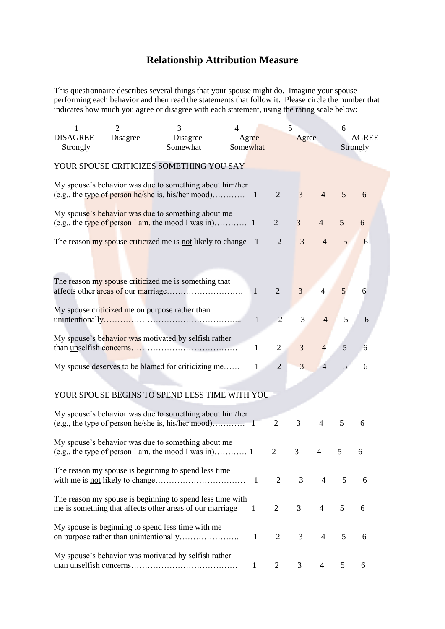## **Relationship Attribution Measure**

This questionnaire describes several things that your spouse might do. Imagine your spouse performing each behavior and then read the statements that follow it. Please circle the number that indicates how much you agree or disagree with each statement, using the rating scale below:

| 1               | $\overline{2}$ | 3                                                            | $\overline{4}$ |              | 5              |                |                | 6             |              |  |
|-----------------|----------------|--------------------------------------------------------------|----------------|--------------|----------------|----------------|----------------|---------------|--------------|--|
| <b>DISAGREE</b> | Disagree       | Disagree                                                     | Agree          |              |                | Agree          |                |               | <b>AGREE</b> |  |
| Strongly        |                | Somewhat                                                     | Somewhat       |              |                |                |                |               | Strongly     |  |
|                 |                | YOUR SPOUSE CRITICIZES SOMETHING YOU SAY                     |                |              |                |                |                |               |              |  |
|                 |                |                                                              |                |              |                |                |                |               |              |  |
|                 |                | My spouse's behavior was due to something about him/her      |                |              |                |                |                |               |              |  |
|                 |                |                                                              |                |              | $\overline{2}$ | $\overline{3}$ | $\overline{4}$ | 5             | 6            |  |
|                 |                | My spouse's behavior was due to something about me           |                |              |                |                |                |               |              |  |
|                 |                |                                                              |                |              | $\overline{2}$ | $\overline{3}$ | $\overline{4}$ | 5             | 6            |  |
|                 |                |                                                              |                |              | $\overline{2}$ | $\overline{3}$ | $\overline{4}$ | 5             | 6            |  |
|                 |                | The reason my spouse criticized me is not likely to change 1 |                |              |                |                |                |               |              |  |
|                 |                |                                                              |                |              |                |                |                |               |              |  |
|                 |                |                                                              |                |              |                |                |                |               |              |  |
|                 |                | The reason my spouse criticized me is something that         |                | $\mathbf{1}$ | $\overline{2}$ | 3              | 4              | 5             | 6            |  |
|                 |                |                                                              |                |              |                |                |                |               |              |  |
|                 |                | My spouse criticized me on purpose rather than               |                |              |                |                |                |               |              |  |
|                 |                |                                                              |                | $\mathbf{1}$ | $\overline{2}$ | 3              | $\overline{4}$ | 5             | 6            |  |
|                 |                | My spouse's behavior was motivated by selfish rather         |                |              |                |                |                |               |              |  |
|                 |                |                                                              |                | 1            | $\overline{2}$ | 3              | 4              | $\mathfrak s$ | 6            |  |
|                 |                | My spouse deserves to be blamed for criticizing me           |                | 1            | $\overline{2}$ | 3              | 4              | 5             | 6            |  |
|                 |                |                                                              |                |              |                |                |                |               |              |  |
|                 |                |                                                              |                |              |                |                |                |               |              |  |
|                 |                | YOUR SPOUSE BEGINS TO SPEND LESS TIME WITH YOU               |                |              |                |                |                |               |              |  |
|                 |                | My spouse's behavior was due to something about him/her      |                |              |                |                |                |               |              |  |
|                 |                |                                                              |                |              | $\overline{2}$ | 3              | 4              | 5             | 6            |  |
|                 |                | My spouse's behavior was due to something about me           |                |              |                |                |                |               |              |  |
|                 |                |                                                              |                |              | 2              | 3              | 4              | 5             | 6            |  |
|                 |                |                                                              |                |              |                |                |                |               |              |  |
|                 |                | The reason my spouse is beginning to spend less time         |                |              | $\overline{2}$ | 3 <sup>7</sup> | 4              | 5             | 6            |  |
|                 |                |                                                              |                |              |                |                |                |               |              |  |
|                 |                | The reason my spouse is beginning to spend less time with    |                |              |                |                |                |               |              |  |
|                 |                | me is something that affects other areas of our marriage     |                | $\mathbf{1}$ | $\overline{2}$ | $\mathfrak{Z}$ | $\overline{4}$ | 5             | 6            |  |
|                 |                | My spouse is beginning to spend less time with me            |                |              |                |                |                |               |              |  |
|                 |                |                                                              |                | $\mathbf{1}$ | 2              | $\mathfrak{Z}$ | $\overline{4}$ | 5             | 6            |  |
|                 |                | My spouse's behavior was motivated by selfish rather         |                |              |                |                |                |               |              |  |
|                 |                |                                                              |                | 1            | $\overline{2}$ | 3              | 4              | 5             | 6            |  |